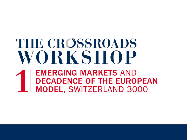# THE CROSSROADS VORKSHOP

**EMERGING MARKETS AND DECADENCE OF THE EUROPEAN MODEL, SWITZERLAND 3000**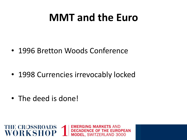#### **MMT and the Euro**

**ING MARKET** 

E OF THE

**MODEL. SWITZERLAND 3000** 

**ROPEAN** 

• 1996 Bretton Woods Conference

• 1998 Currencies irrevocably locked

• The deed is done!

THE CROSSROADS 1

WORKSHOP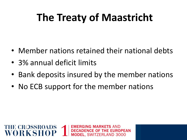# **The Treaty of Maastricht**

- Member nations retained their national debts
- 3% annual deficit limits

**THE CROSSROADS** 

• Bank deposits insured by the member nations

.. SWITZERLAND 3000

• No ECB support for the member nations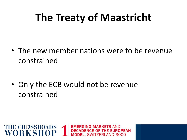## **The Treaty of Maastricht**

• The new member nations were to be revenue constrained

• Only the ECB would not be revenue constrained

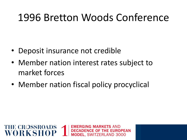#### 1996 Bretton Woods Conference

- Deposit insurance not credible
- Member nation interest rates subject to market forces
- Member nation fiscal policy procyclical

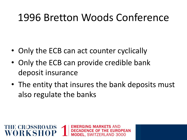#### 1996 Bretton Woods Conference

- Only the ECB can act counter cyclically
- Only the ECB can provide credible bank deposit insurance

**THE CROSSROADS** 

ORKSH

• The entity that insures the bank deposits must also regulate the banks

> GING MARKETS AND E OF THE FI

**EL. SWITZERLAND 3000**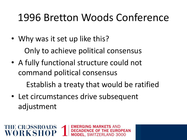#### 1996 Bretton Woods Conference

ING MARKET

E OF THE EI

**EL. SWITZERLAND 3000** 

- Why was it set up like this? Only to achieve political consensus
- A fully functional structure could not command political consensus Establish a treaty that would be ratified
- Let circumstances drive subsequent adjustment

**THE CROSSROADS** 

ORKSE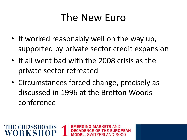#### The New Euro

- It worked reasonably well on the way up, supported by private sector credit expansion
- It all went bad with the 2008 crisis as the private sector retreated
- Circumstances forced change, precisely as discussed in 1996 at the Bretton Woods conference

NG MARKE

E OF THE EL. SWITZERLAND 3000

**THE CROSSROADS**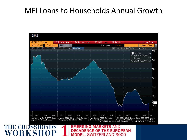#### MFI Loans to Households Annual Growth

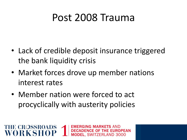#### Post 2008 Trauma

• Lack of credible deposit insurance triggered the bank liquidity crisis

GING MARKF1

E OF THE

**EL. SWITZERLAND 3000** 

- Market forces drove up member nations interest rates
- Member nation were forced to act procyclically with austerity policies

**THE CROSSROADS** 

VORKSH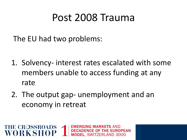#### Post 2008 Trauma

The EU had two problems:

**THE CROSSROADS** 

VORKSH

1. Solvency- interest rates escalated with some members unable to access funding at any rate

NG MARKET

E OF THE

**EL. SWITZERLAND 3000** 

2. The output gap- unemployment and an economy in retreat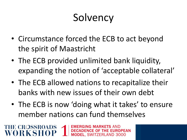# **Solvency**

- Circumstance forced the ECB to act beyond the spirit of Maastricht
- The ECB provided unlimited bank liquidity, expanding the notion of 'acceptable collateral'
- The ECB allowed nations to recapitalize their banks with new issues of their own debt
- The ECB is now 'doing what it takes' to ensure member nations can fund themselves

.. SWITZERLAND 3000

**THE CROSSROADS**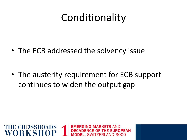# Conditionality

• The ECB addressed the solvency issue

• The austerity requirement for ECB support continues to widen the output gap

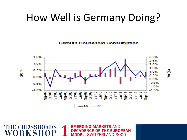#### How Well is Germany Doing?

**German Household Consumption** 



**EMERGING MARKETS AND** 

**DECADENCE OF THE EUROPEAN** 

**MODEL, SWITZERLAND 3000** 

**THE CROSSROADS** 

WORKS

(W MA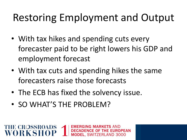# Restoring Employment and Output

- With tax hikes and spending cuts every forecaster paid to be right lowers his GDP and employment forecast
- With tax cuts and spending hikes the same forecasters raise those forecasts

JG MARKET E OF THE **EL. SWITZERLAND 3000** 

- The ECB has fixed the solvency issue.
- SO WHAT'S THE PROBLEM?

**THE CROSSROADS**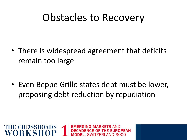#### Obstacles to Recovery

• There is widespread agreement that deficits remain too large

• Even Beppe Grillo states debt must be lower, proposing debt reduction by repudiation

ING MARKETS AND

**EL. SWITZERLAND 3000** 

**E OF THE EUROPEAN** 

**THE CROSSROADS** 

WORKSH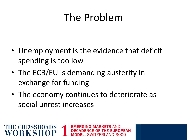#### The Problem

- Unemployment is the evidence that deficit spending is too low
- The ECB/EU is demanding austerity in exchange for funding

**THE CROSSROADS** 

VORKSH

• The economy continues to deteriorate as social unrest increases

ING MARKET

E OF THE

EL. SWITZERLAND 3000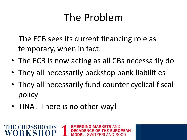# The Problem

The ECB sees its current financing role as temporary, when in fact:

- The ECB is now acting as all CBs necessarily do
- They all necessarily backstop bank liabilities
- They all necessarily fund counter cyclical fiscal policy

ING MARKETS AND

EL. SWITZERLAND 3000

**E OF THE EUROPEAN** 

• TINA! There is no other way!

**THE CROSSROADS** 

ORKSH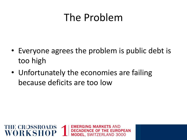#### The Problem

- Everyone agrees the problem is public debt is too high
- Unfortunately the economies are failing because deficits are too low

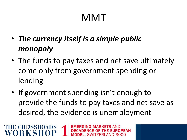# MMT

• *The currency itself is a simple public monopoly*

**THE CROSSROADS** 

- The funds to pay taxes and net save ultimately come only from government spending or lending
- If government spending isn't enough to provide the funds to pay taxes and net save as desired, the evidence is unemployment

NG MARKETS

**EL. SWITZERLAND 3000** 

**CE OF THE EUROPEAN**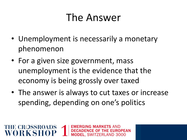#### The Answer

- Unemployment is necessarily a monetary phenomenon
- For a given size government, mass unemployment is the evidence that the economy is being grossly over taxed

**THE CROSSROADS** 

• The answer is always to cut taxes or increase spending, depending on one's politics

> JG MARKET Е ОЕ ТНЕ EL. SWITZERLAND 3000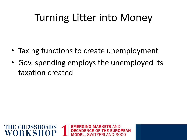# Turning Litter into Money

- Taxing functions to create unemployment
- Gov. spending employs the unemployed its taxation created

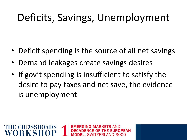# Deficits, Savings, Unemployment

- Deficit spending is the source of all net savings
- Demand leakages create savings desires

**THE CROSSROADS** 

• If gov't spending is insufficient to satisfy the desire to pay taxes and net save, the evidence is unemployment

.. SWITZERLAND 3000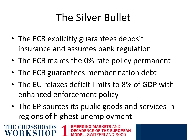# The Silver Bullet

- The ECB explicitly guarantees deposit insurance and assumes bank regulation
- The ECB makes the 0% rate policy permanent
- The ECB guarantees member nation debt

**HE CROSSROADS** 

ORKSH

- The EU relaxes deficit limits to 8% of GDP with enhanced enforcement policy
- The EP sources its public goods and services in regions of highest unemployment

E OF THE

EL. SWITZERLAND 3000

**ROPEAN**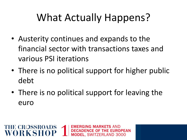# What Actually Happens?

- Austerity continues and expands to the financial sector with transactions taxes and various PSI iterations
- There is no political support for higher public debt
- There is no political support for leaving the euro

IG MARK

E OF THE **EL. SWITZERLAND 3000** 

**THE CROSSROADS**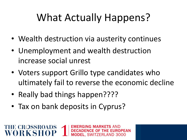# What Actually Happens?

- Wealth destruction via austerity continues
- Unemployment and wealth destruction increase social unrest
- Voters support Grillo type candidates who ultimately fail to reverse the economic decline

ING MARKFT

E OF THE FI

**EL. SWITZERLAND 3000** 

• Really bad things happen????

**THE CROSSROADS** 

ORKSE

• Tax on bank deposits in Cyprus?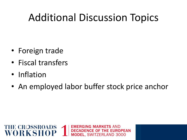# Additional Discussion Topics

- Foreign trade
- Fiscal transfers
- Inflation
- An employed labor buffer stock price anchor

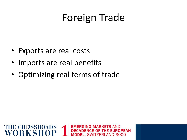#### Foreign Trade

- Exports are real costs
- Imports are real benefits
- Optimizing real terms of trade

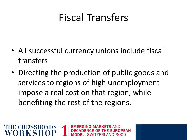#### Fiscal Transfers

- All successful currency unions include fiscal transfers
- Directing the production of public goods and services to regions of high unemployment impose a real cost on that region, while benefiting the rest of the regions.

NG MARKET E OF THE EL. SWITZERLAND 3000

**THE CROSSROADS**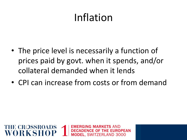# Inflation

- The price level is necessarily a function of prices paid by govt. when it spends, and/or collateral demanded when it lends
- CPI can increase from costs or from demand

. SWITZERLAND 3000

**THE CROSSROADS**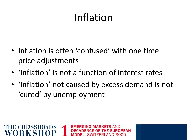# Inflation

- Inflation is often 'confused' with one time price adjustments
- 'Inflation' is not a function of interest rates

**THE CROSSROADS** 

• 'Inflation' not caused by excess demand is not 'cured' by unemployment

.. SWITZERLAND 3000